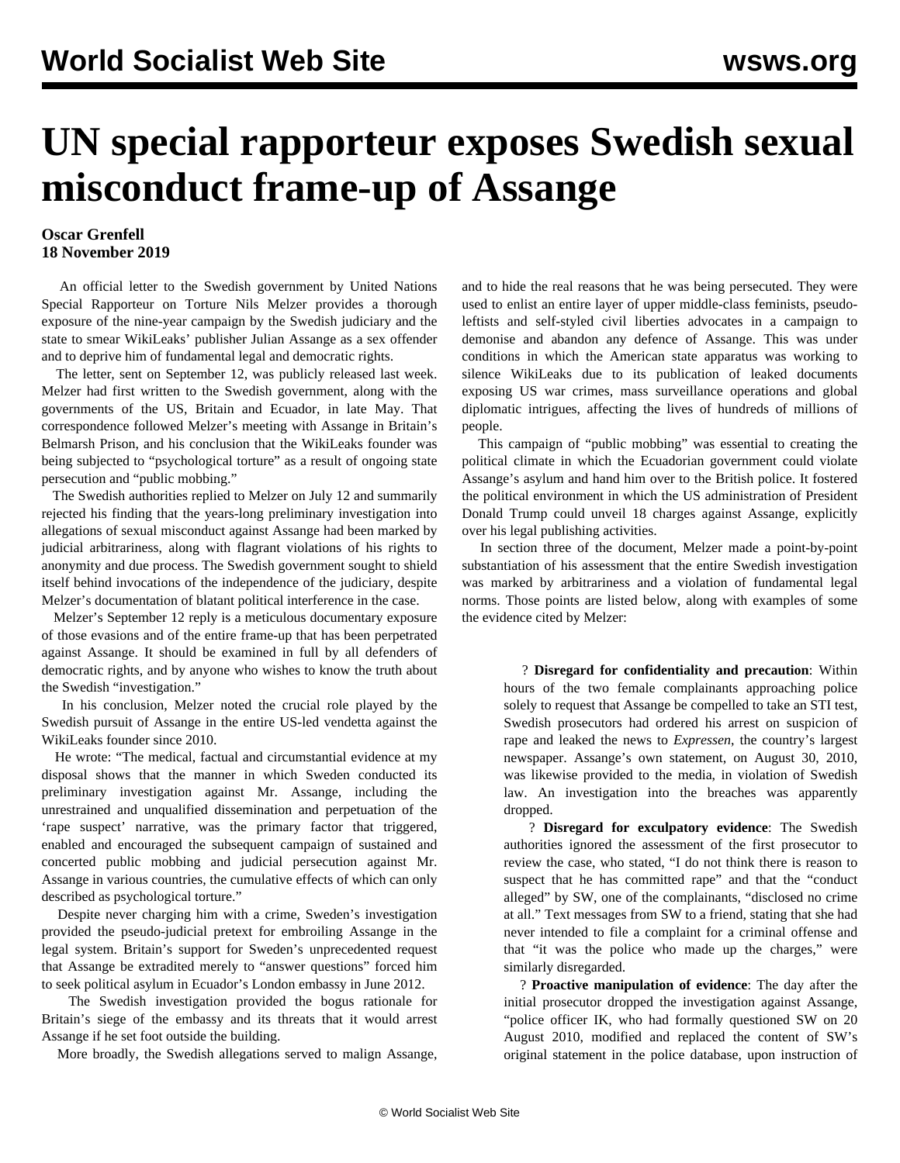## **UN special rapporteur exposes Swedish sexual misconduct frame-up of Assange**

## **Oscar Grenfell 18 November 2019**

 An official letter to the Swedish government by United Nations Special Rapporteur on Torture Nils Melzer provides a thorough exposure of the nine-year campaign by the Swedish judiciary and the state to smear WikiLeaks' publisher Julian Assange as a sex offender and to deprive him of fundamental legal and democratic rights.

 The letter, sent on September 12, was publicly released last week. Melzer had first written to the Swedish government, along with the governments of the US, Britain and Ecuador, in late May. That correspondence followed Melzer's meeting with Assange in Britain's Belmarsh Prison, and his conclusion that the WikiLeaks founder was being subjected to "psychological torture" as a result of ongoing state persecution and "public mobbing."

 The Swedish authorities replied to Melzer on July 12 and summarily rejected his finding that the years-long preliminary investigation into allegations of sexual misconduct against Assange had been marked by judicial arbitrariness, along with flagrant violations of his rights to anonymity and due process. The Swedish government sought to shield itself behind invocations of the independence of the judiciary, despite Melzer's documentation of blatant political interference in the case.

 Melzer's September 12 reply is a meticulous documentary exposure of those evasions and of the entire frame-up that has been perpetrated against Assange. It should be [examined in full](https://spcommreports.ohchr.org/TMResultsBase/DownLoadPublicCommunicationFile?gId=24838) by all defenders of democratic rights, and by anyone who wishes to know the truth about the Swedish "investigation."

 In his conclusion, Melzer noted the crucial role played by the Swedish pursuit of Assange in the entire US-led vendetta against the WikiLeaks founder since 2010.

 He wrote: "The medical, factual and circumstantial evidence at my disposal shows that the manner in which Sweden conducted its preliminary investigation against Mr. Assange, including the unrestrained and unqualified dissemination and perpetuation of the 'rape suspect' narrative, was the primary factor that triggered, enabled and encouraged the subsequent campaign of sustained and concerted public mobbing and judicial persecution against Mr. Assange in various countries, the cumulative effects of which can only described as psychological torture."

 Despite never charging him with a crime, Sweden's investigation provided the pseudo-judicial pretext for embroiling Assange in the legal system. Britain's support for Sweden's unprecedented request that Assange be extradited merely to "answer questions" forced him to seek political asylum in Ecuador's London embassy in June 2012.

 The Swedish investigation provided the bogus rationale for Britain's siege of the embassy and its threats that it would arrest Assange if he set foot outside the building.

More broadly, the Swedish allegations served to malign Assange,

and to hide the real reasons that he was being persecuted. They were used to enlist an entire layer of upper middle-class feminists, pseudoleftists and self-styled civil liberties advocates in a campaign to demonise and abandon any defence of Assange. This was under conditions in which the American state apparatus was working to silence WikiLeaks due to its publication of leaked documents exposing US war crimes, mass surveillance operations and global diplomatic intrigues, affecting the lives of hundreds of millions of people.

 This campaign of "public mobbing" was essential to creating the political climate in which the Ecuadorian government could violate Assange's asylum and hand him over to the British police. It fostered the political environment in which the US administration of President Donald Trump could unveil 18 charges against Assange, explicitly over his legal publishing activities.

 In section three of the document, Melzer made a point-by-point substantiation of his assessment that the entire Swedish investigation was marked by arbitrariness and a violation of fundamental legal norms. Those points are listed below, along with examples of some the evidence cited by Melzer:

> ? **Disregard for confidentiality and precaution**: Within hours of the two female complainants approaching police solely to request that Assange be compelled to take an STI test, Swedish prosecutors had ordered his arrest on suspicion of rape and leaked the news to *Expressen*, the country's largest newspaper. Assange's own statement, on August 30, 2010, was likewise provided to the media, in violation of Swedish law. An investigation into the breaches was apparently dropped.

> ? **Disregard for exculpatory evidence**: The Swedish authorities ignored the assessment of the first prosecutor to review the case, who stated, "I do not think there is reason to suspect that he has committed rape" and that the "conduct alleged" by SW, one of the complainants, "disclosed no crime at all." Text messages from SW to a friend, stating that she had never intended to file a complaint for a criminal offense and that "it was the police who made up the charges," were similarly disregarded.

> ? **Proactive manipulation of evidence**: The day after the initial prosecutor dropped the investigation against Assange, "police officer IK, who had formally questioned SW on 20 August 2010, modified and replaced the content of SW's original statement in the police database, upon instruction of